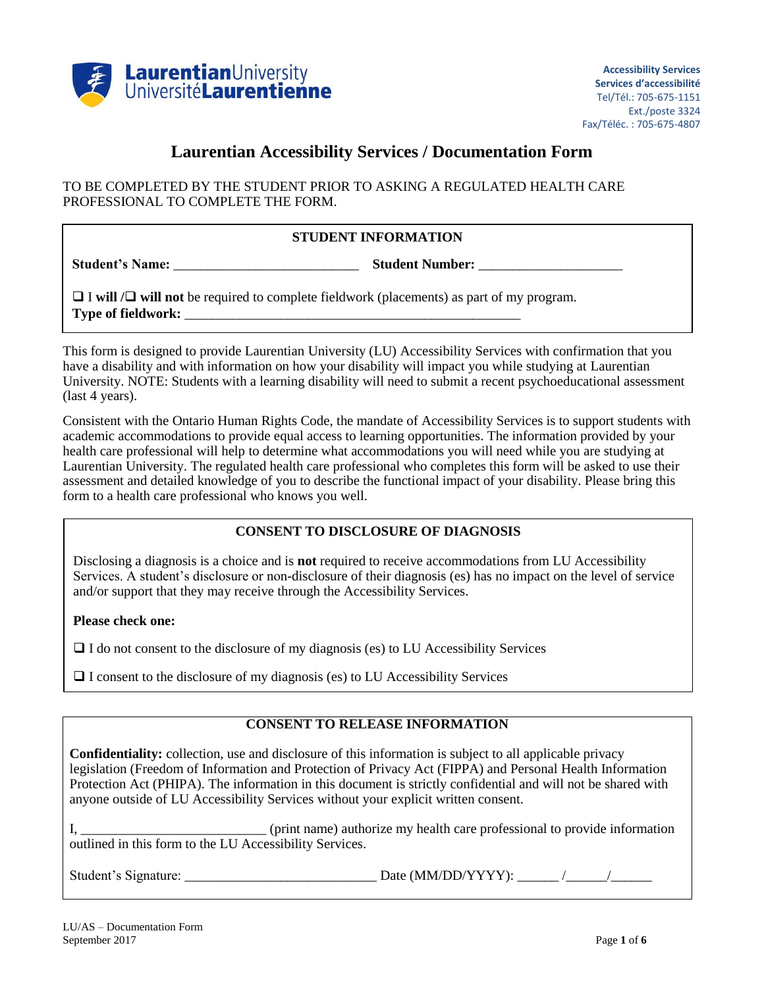

## **Laurentian Accessibility Services / Documentation Form**

TO BE COMPLETED BY THE STUDENT PRIOR TO ASKING A REGULATED HEALTH CARE PROFESSIONAL TO COMPLETE THE FORM.

## **STUDENT INFORMATION**

**Student's Name:** \_\_\_\_\_\_\_\_\_\_\_\_\_\_\_\_\_\_\_\_\_\_\_\_\_\_\_ **Student Number:** \_\_\_\_\_\_\_\_\_\_\_\_\_\_\_\_\_\_\_\_\_

 $\Box$  **I** will  $\Box$  will not be required to complete fieldwork (placements) as part of my program. **Type of fieldwork:** \_\_\_\_\_\_\_\_\_\_\_\_\_\_\_\_\_\_\_\_\_\_\_\_\_\_\_\_\_\_\_\_\_\_\_\_\_\_\_\_\_\_\_\_\_\_\_\_\_

This form is designed to provide Laurentian University (LU) Accessibility Services with confirmation that you have a disability and with information on how your disability will impact you while studying at Laurentian University. NOTE: Students with a learning disability will need to submit a recent psychoeducational assessment (last 4 years).

Consistent with the Ontario Human Rights Code, the mandate of Accessibility Services is to support students with academic accommodations to provide equal access to learning opportunities. The information provided by your health care professional will help to determine what accommodations you will need while you are studying at Laurentian University. The regulated health care professional who completes this form will be asked to use their assessment and detailed knowledge of you to describe the functional impact of your disability. Please bring this form to a health care professional who knows you well.

## **CONSENT TO DISCLOSURE OF DIAGNOSIS**

Disclosing a diagnosis is a choice and is **not** required to receive accommodations from LU Accessibility Services. A student's disclosure or non-disclosure of their diagnosis (es) has no impact on the level of service and/or support that they may receive through the Accessibility Services.

**Please check one:**

 $\Box$  I do not consent to the disclosure of my diagnosis (es) to LU Accessibility Services

 $\Box$  I consent to the disclosure of my diagnosis (es) to LU Accessibility Services

## **CONSENT TO RELEASE INFORMATION**

**Confidentiality:** collection, use and disclosure of this information is subject to all applicable privacy legislation (Freedom of Information and Protection of Privacy Act (FIPPA) and Personal Health Information Protection Act (PHIPA). The information in this document is strictly confidential and will not be shared with anyone outside of LU Accessibility Services without your explicit written consent.

I, \_\_\_\_\_\_\_\_\_\_\_\_\_\_\_\_\_\_\_\_\_\_\_\_\_\_\_ (print name) authorize my health care professional to provide information outlined in this form to the LU Accessibility Services.

Student's Signature: \_\_\_\_\_\_\_\_\_\_\_\_\_\_\_\_\_\_\_\_\_\_\_\_\_\_\_\_ Date (MM/DD/YYYY): \_\_\_\_\_\_ /\_\_\_\_\_\_/\_\_\_\_\_\_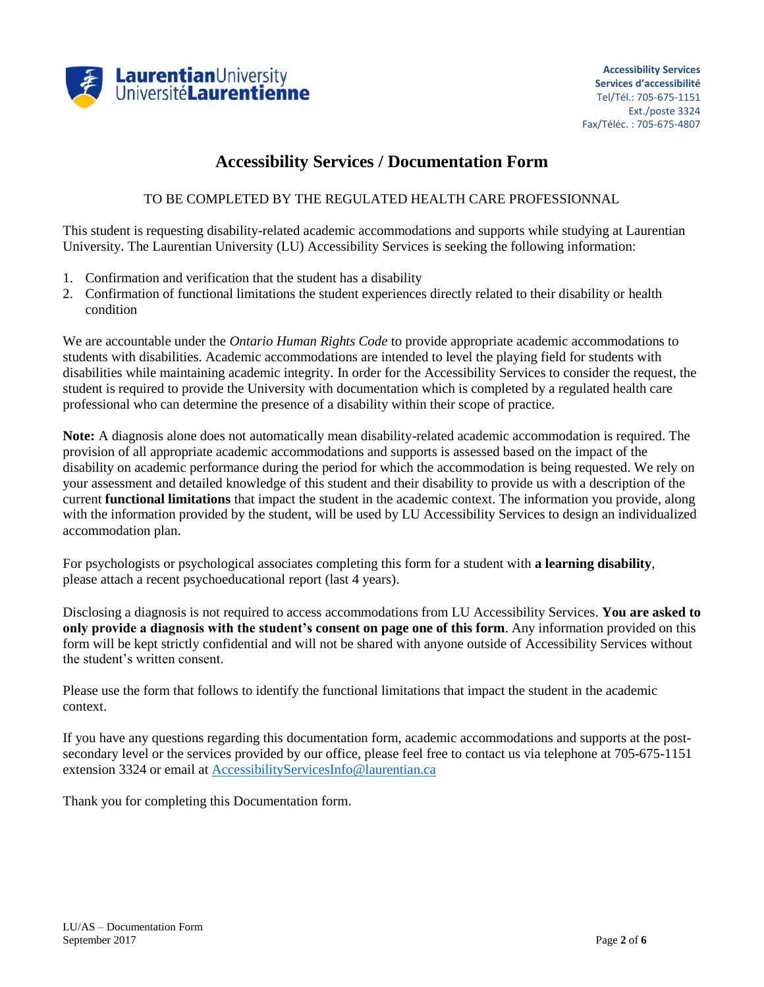

# **Accessibility Services / Documentation Form**

#### TO BE COMPLETED BY THE REGULATED HEALTH CARE PROFESSIONNAL

This student is requesting disability-related academic accommodations and supports while studying at Laurentian University. The Laurentian University (LU) Accessibility Services is seeking the following information:

- 1. Confirmation and verification that the student has a disability
- 2. Confirmation of functional limitations the student experiences directly related to their disability or health condition

We are accountable under the *Ontario Human Rights Code* to provide appropriate academic accommodations to students with disabilities. Academic accommodations are intended to level the playing field for students with disabilities while maintaining academic integrity. In order for the Accessibility Services to consider the request, the student is required to provide the University with documentation which is completed by a regulated health care professional who can determine the presence of a disability within their scope of practice.

**Note:** A diagnosis alone does not automatically mean disability-related academic accommodation is required. The provision of all appropriate academic accommodations and supports is assessed based on the impact of the disability on academic performance during the period for which the accommodation is being requested. We rely on your assessment and detailed knowledge of this student and their disability to provide us with a description of the current **functional limitations** that impact the student in the academic context. The information you provide, along with the information provided by the student, will be used by LU Accessibility Services to design an individualized accommodation plan.

For psychologists or psychological associates completing this form for a student with **a learning disability**, please attach a recent psychoeducational report (last 4 years).

Disclosing a diagnosis is not required to access accommodations from LU Accessibility Services. **You are asked to only provide a diagnosis with the student's consent on page one of this form**. Any information provided on this form will be kept strictly confidential and will not be shared with anyone outside of Accessibility Services without the student's written consent.

Please use the form that follows to identify the functional limitations that impact the student in the academic context.

If you have any questions regarding this documentation form, academic accommodations and supports at the postsecondary level or the services provided by our office, please feel free to contact us via telephone at 705-675-1151 extension 3324 or email at [AccessibilityServicesInfo@laurentian.ca](mailto:AccessibilityServicesInfo@laurentian.ca)

Thank you for completing this Documentation form.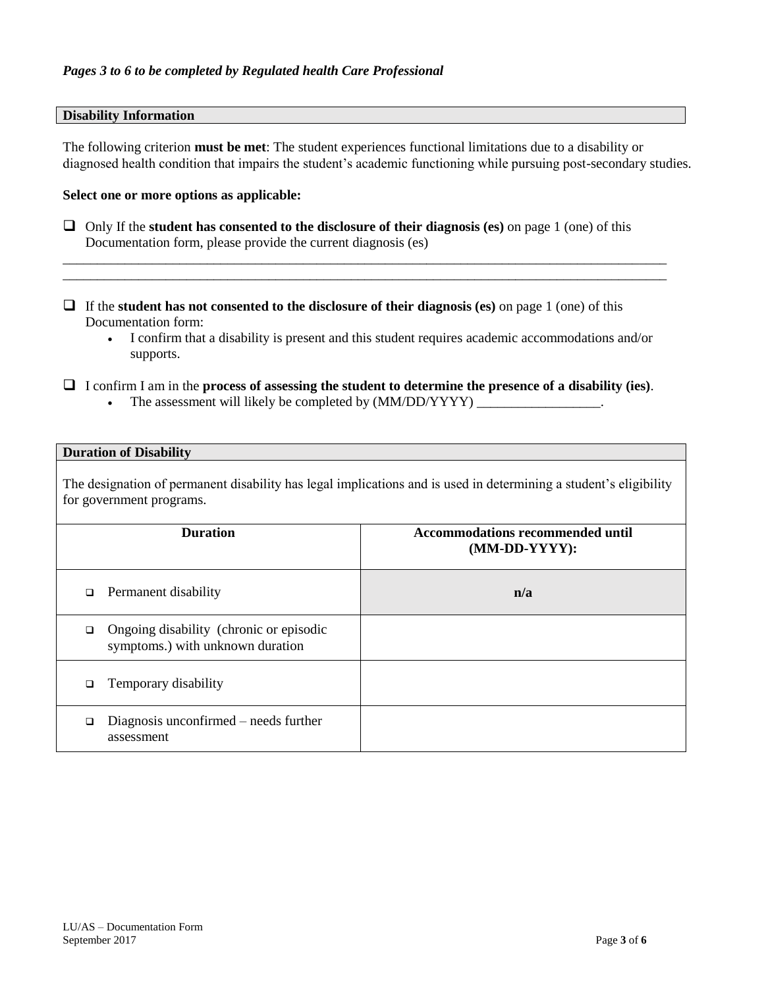#### **Disability Information**

The following criterion **must be met**: The student experiences functional limitations due to a disability or diagnosed health condition that impairs the student's academic functioning while pursuing post-secondary studies.

#### **Select one or more options as applicable:**

 Only If the **student has consented to the disclosure of their diagnosis (es)** on page 1 (one) of this Documentation form, please provide the current diagnosis (es)

\_\_\_\_\_\_\_\_\_\_\_\_\_\_\_\_\_\_\_\_\_\_\_\_\_\_\_\_\_\_\_\_\_\_\_\_\_\_\_\_\_\_\_\_\_\_\_\_\_\_\_\_\_\_\_\_\_\_\_\_\_\_\_\_\_\_\_\_\_\_\_\_\_\_\_\_\_\_\_\_\_\_\_\_\_\_\_\_ \_\_\_\_\_\_\_\_\_\_\_\_\_\_\_\_\_\_\_\_\_\_\_\_\_\_\_\_\_\_\_\_\_\_\_\_\_\_\_\_\_\_\_\_\_\_\_\_\_\_\_\_\_\_\_\_\_\_\_\_\_\_\_\_\_\_\_\_\_\_\_\_\_\_\_\_\_\_\_\_\_\_\_\_\_\_\_\_

- If the **student has not consented to the disclosure of their diagnosis (es)** on page 1 (one) of this Documentation form:
	- I confirm that a disability is present and this student requires academic accommodations and/or supports.

I confirm I am in the **process of assessing the student to determine the presence of a disability (ies)**.

The assessment will likely be completed by (MM/DD/YYYY) \_\_\_\_\_\_\_\_\_\_\_\_\_\_\_\_\_\_.

#### **Duration of Disability**

The designation of permanent disability has legal implications and is used in determining a student's eligibility for government programs.

| <b>Duration</b>                                                                  | <b>Accommodations recommended until</b><br>$(MM\text{-}DD\text{-}YYYY):$ |
|----------------------------------------------------------------------------------|--------------------------------------------------------------------------|
| Permanent disability<br>$\Box$                                                   | n/a                                                                      |
| Ongoing disability (chronic or episodic<br>◘<br>symptoms.) with unknown duration |                                                                          |
| Temporary disability<br>□                                                        |                                                                          |
| Diagnosis unconfirmed – needs further<br>◻<br>assessment                         |                                                                          |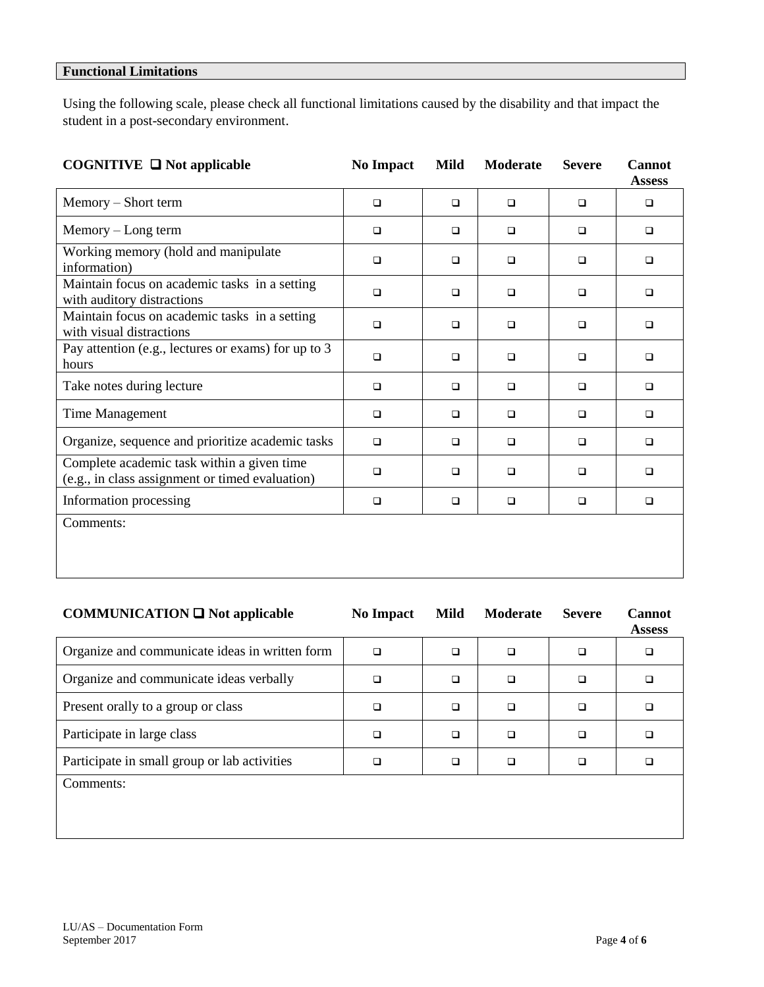## **Functional Limitations**

Using the following scale, please check all functional limitations caused by the disability and that impact the student in a post-secondary environment.

| COGNITIVE $\Box$ Not applicable                                                               | <b>No Impact</b> | Mild   | <b>Moderate</b> | <b>Severe</b> | <b>Cannot</b><br><b>Assess</b> |
|-----------------------------------------------------------------------------------------------|------------------|--------|-----------------|---------------|--------------------------------|
| Memory – Short term                                                                           | $\Box$           | $\Box$ | $\Box$          | $\Box$        | $\Box$                         |
| Memory – Long term                                                                            | $\Box$           | $\Box$ | $\Box$          | $\Box$        | $\Box$                         |
| Working memory (hold and manipulate<br>information)                                           | $\Box$           | □      | $\Box$          | □             | □                              |
| Maintain focus on academic tasks in a setting<br>with auditory distractions                   | $\Box$           | $\Box$ | $\Box$          | $\Box$        | □                              |
| Maintain focus on academic tasks in a setting<br>with visual distractions                     | $\Box$           | $\Box$ | $\Box$          | $\Box$        | $\Box$                         |
| Pay attention (e.g., lectures or exams) for up to 3<br>hours                                  | $\Box$           | $\Box$ | $\Box$          | $\Box$        | $\Box$                         |
| Take notes during lecture                                                                     | $\Box$           | $\Box$ | $\Box$          | $\Box$        | ▫                              |
| Time Management                                                                               | $\Box$           | $\Box$ | $\Box$          | $\Box$        | $\Box$                         |
| Organize, sequence and prioritize academic tasks                                              | $\Box$           | $\Box$ | $\Box$          | $\Box$        | $\Box$                         |
| Complete academic task within a given time<br>(e.g., in class assignment or timed evaluation) | $\Box$           | $\Box$ | $\Box$          | $\Box$        | □                              |
| Information processing                                                                        | $\Box$           | $\Box$ | $\Box$          | $\Box$        | $\Box$                         |
| Comments:                                                                                     |                  |        |                 |               |                                |

| <b>COMMUNICATION</b> $\Box$ Not applicable     | <b>No Impact</b> | Mild   | <b>Moderate</b> | <b>Severe</b> | <b>Cannot</b><br><b>Assess</b> |
|------------------------------------------------|------------------|--------|-----------------|---------------|--------------------------------|
| Organize and communicate ideas in written form | $\Box$           | $\Box$ | $\Box$          | $\Box$        | □                              |
| Organize and communicate ideas verbally        | ❏                | □      | $\Box$          | $\Box$        |                                |
| Present orally to a group or class             | ❏                | $\Box$ | $\Box$          | $\Box$        |                                |
| Participate in large class                     | ❏                | $\Box$ | $\Box$          | $\Box$        |                                |
| Participate in small group or lab activities   | □                | $\Box$ | □               | $\Box$        |                                |
| Comments:                                      |                  |        |                 |               |                                |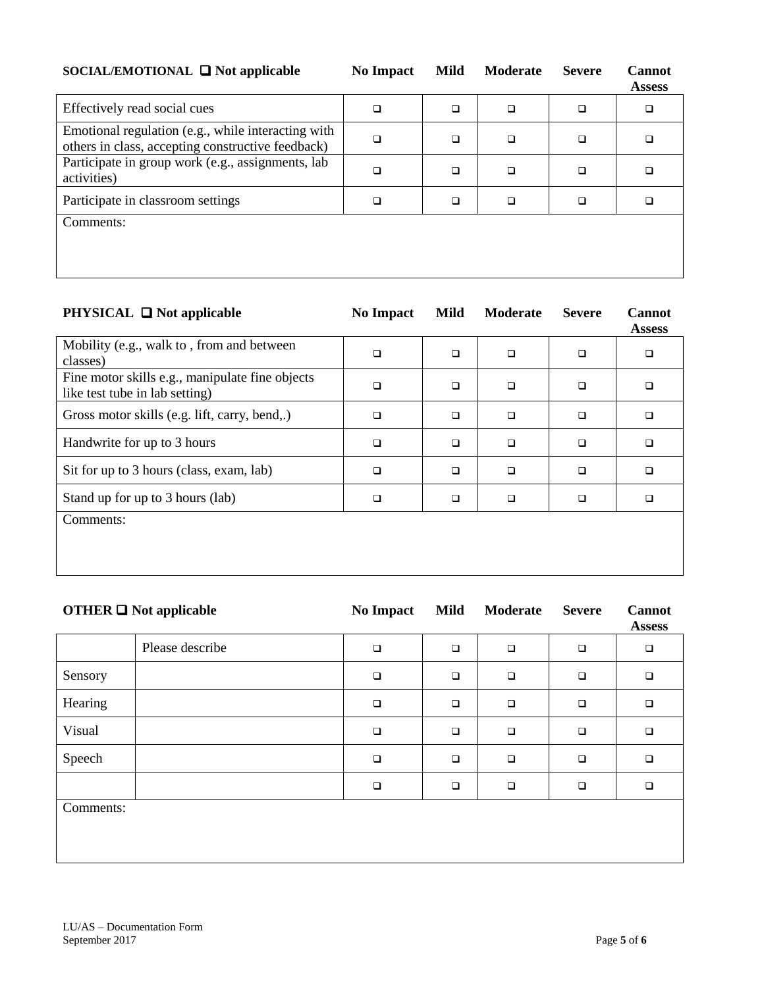| SOCIAL/EMOTIONAL $\Box$ Not applicable                                                                  | <b>No Impact</b> | Mild   | <b>Moderate</b> | <b>Severe</b> | <b>Cannot</b><br><b>Assess</b> |
|---------------------------------------------------------------------------------------------------------|------------------|--------|-----------------|---------------|--------------------------------|
| Effectively read social cues                                                                            | □                | $\Box$ | $\Box$          | □             | □                              |
| Emotional regulation (e.g., while interacting with<br>others in class, accepting constructive feedback) | □                | $\Box$ | $\Box$          | $\Box$        |                                |
| Participate in group work (e.g., assignments, lab<br>activities)                                        | □                | $\Box$ | $\Box$          | $\Box$        |                                |
| Participate in classroom settings                                                                       | □                | $\Box$ | $\Box$          | $\Box$        |                                |
| Comments:                                                                                               |                  |        |                 |               |                                |

| <b>PHYSICAL</b> $\Box$ Not applicable                                             | <b>No Impact</b> | Mild   | <b>Moderate</b> | <b>Severe</b> | <b>Cannot</b><br><b>Assess</b> |
|-----------------------------------------------------------------------------------|------------------|--------|-----------------|---------------|--------------------------------|
| Mobility (e.g., walk to, from and between<br>classes)                             | □                | $\Box$ | $\Box$          | ❏             | □                              |
| Fine motor skills e.g., manipulate fine objects<br>like test tube in lab setting) | $\Box$           | $\Box$ | $\Box$          | $\Box$        | $\Box$                         |
| Gross motor skills (e.g. lift, carry, bend,.)                                     | □                | $\Box$ | $\Box$          | $\Box$        | $\Box$                         |
| Handwrite for up to 3 hours                                                       | □                | $\Box$ | $\Box$          | $\Box$        | $\Box$                         |
| Sit for up to 3 hours (class, exam, lab)                                          | □                | $\Box$ | $\Box$          | $\Box$        | $\Box$                         |
| Stand up for up to 3 hours (lab)                                                  | □                | $\Box$ | $\Box$          | □             | □                              |
| Comments:                                                                         |                  |        |                 |               |                                |

| <b>OTHER <math>\Box</math></b> Not applicable |                 | <b>No Impact</b> | <b>Mild</b> | Moderate | <b>Severe</b> | <b>Cannot</b><br><b>Assess</b> |
|-----------------------------------------------|-----------------|------------------|-------------|----------|---------------|--------------------------------|
|                                               | Please describe | $\Box$           | $\Box$      | $\Box$   | $\Box$        | $\Box$                         |
| Sensory                                       |                 | $\Box$           | $\Box$      | $\Box$   | $\Box$        | $\Box$                         |
| Hearing                                       |                 | $\Box$           | $\Box$      | $\Box$   | $\Box$        | $\Box$                         |
| Visual                                        |                 | $\Box$           | $\Box$      | $\Box$   | $\Box$        | $\Box$                         |
| Speech                                        |                 | $\Box$           | $\Box$      | $\Box$   | $\Box$        | $\Box$                         |
|                                               |                 | $\Box$           | $\Box$      | $\Box$   | $\Box$        | $\Box$                         |
| Comments:                                     |                 |                  |             |          |               |                                |
|                                               |                 |                  |             |          |               |                                |